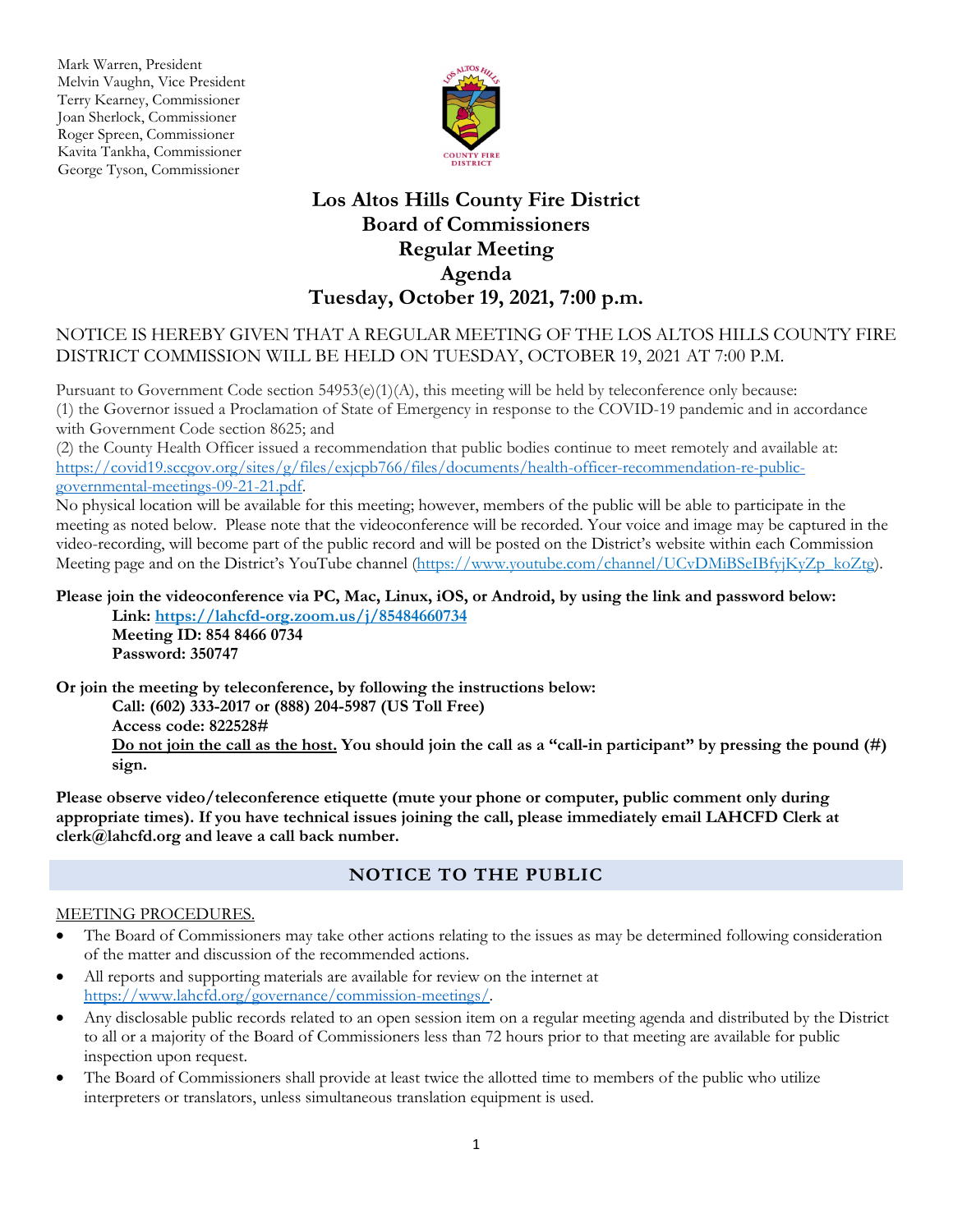Mark Warren, President Melvin Vaughn, Vice President Terry Kearney, Commissioner Joan Sherlock, Commissioner Roger Spreen, Commissioner Kavita Tankha, Commissioner George Tyson, Commissioner



## **Los Altos Hills County Fire District Board of Commissioners Regular Meeting Agenda Tuesday, October 19, 2021, 7:00 p.m.**

### NOTICE IS HEREBY GIVEN THAT A REGULAR MEETING OF THE LOS ALTOS HILLS COUNTY FIRE DISTRICT COMMISSION WILL BE HELD ON TUESDAY, OCTOBER 19, 2021 AT 7:00 P.M.

Pursuant to Government Code section 54953(e)(1)(A), this meeting will be held by teleconference only because: (1) the Governor issued a Proclamation of State of Emergency in response to the COVID-19 pandemic and in accordance with Government Code section 8625; and

(2) the County Health Officer issued a recommendation that public bodies continue to meet remotely and available at: [https://covid19.sccgov.org/sites/g/files/exjcpb766/files/documents/health-officer-recommendation-re-public](https://covid19.sccgov.org/sites/g/files/exjcpb766/files/documents/health-officer-recommendation-re-public-governmental-meetings-09-21-21.pdf)[governmental-meetings-09-21-21.pdf.](https://covid19.sccgov.org/sites/g/files/exjcpb766/files/documents/health-officer-recommendation-re-public-governmental-meetings-09-21-21.pdf)

No physical location will be available for this meeting; however, members of the public will be able to participate in the meeting as noted below. Please note that the videoconference will be recorded. Your voice and image may be captured in the video-recording, will become part of the public record and will be posted on the District's website within each Commission Meeting page and on the District's YouTube channel (https://www.youtube.com/channel/UCvDMiBSeIBfyjKyZp\_koZtg).

#### **Please join the videoconference via PC, Mac, Linux, iOS, or Android, by using the link and password below: Link: https://lahcfd-org.zoom.us/j/85484660734**

**Meeting ID: 854 8466 0734 Password: 350747**

**Or join the meeting by teleconference, by following the instructions below:** 

**Call: (602) 333-2017 or (888) 204-5987 (US Toll Free) Access code: 822528# Do not join the call as the host. You should join the call as a "call-in participant" by pressing the pound (#) sign.**

**Please observe video/teleconference etiquette (mute your phone or computer, public comment only during appropriate times). If you have technical issues joining the call, please immediately email LAHCFD Clerk at clerk@lahcfd.org and leave a call back number.**

### **NOTICE TO THE PUBLIC**

### MEETING PROCEDURES.

- The Board of Commissioners may take other actions relating to the issues as may be determined following consideration of the matter and discussion of the recommended actions.
- All reports and supporting materials are available for review on the internet at [https://www.lahcfd.org/governance/commission-meetings/.](https://www.lahcfd.org/governance/commission-meetings/)
- Any disclosable public records related to an open session item on a regular meeting agenda and distributed by the District to all or a majority of the Board of Commissioners less than 72 hours prior to that meeting are available for public inspection upon request.
- The Board of Commissioners shall provide at least twice the allotted time to members of the public who utilize interpreters or translators, unless simultaneous translation equipment is used.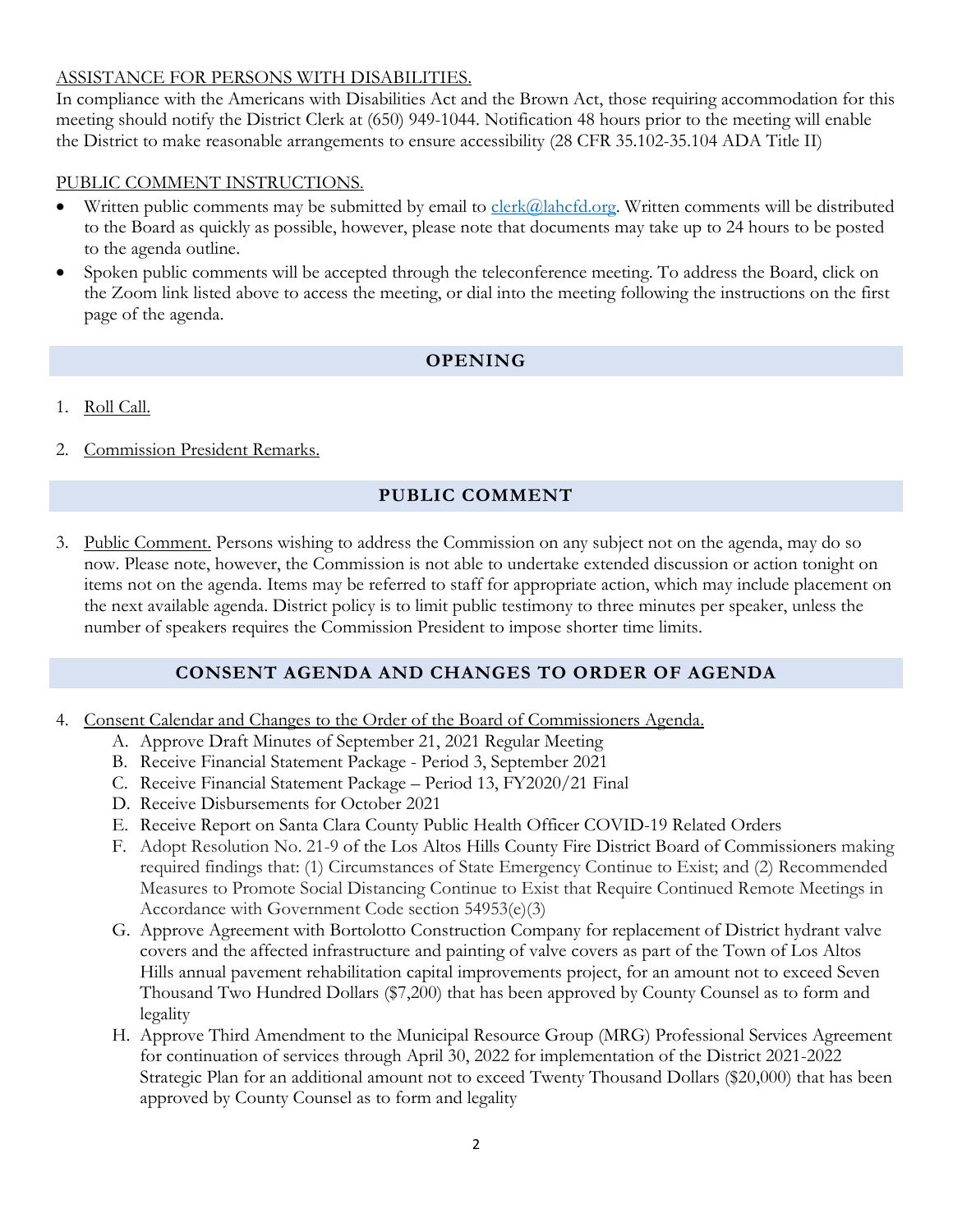### ASSISTANCE FOR PERSONS WITH DISABILITIES.

In compliance with the Americans with Disabilities Act and the Brown Act, those requiring accommodation for this meeting should notify the District Clerk at (650) 949-1044. Notification 48 hours prior to the meeting will enable the District to make reasonable arrangements to ensure accessibility (28 CFR 35.102-35.104 ADA Title II)

#### PUBLIC COMMENT INSTRUCTIONS.

- Written public comments may be submitted by email to [clerk@lahcfd.org.](mailto:clerk@lahcfd.org) Written comments will be distributed to the Board as quickly as possible, however, please note that documents may take up to 24 hours to be posted to the agenda outline.
- Spoken public comments will be accepted through the teleconference meeting. To address the Board, click on the Zoom link listed above to access the meeting, or dial into the meeting following the instructions on the first page of the agenda.

### **OPENING**

- 1. Roll Call.
- 2. Commission President Remarks.

### **PUBLIC COMMENT**

3. Public Comment. Persons wishing to address the Commission on any subject not on the agenda, may do so now. Please note, however, the Commission is not able to undertake extended discussion or action tonight on items not on the agenda. Items may be referred to staff for appropriate action, which may include placement on the next available agenda. District policy is to limit public testimony to three minutes per speaker, unless the number of speakers requires the Commission President to impose shorter time limits.

### **CONSENT AGENDA AND CHANGES TO ORDER OF AGENDA**

- 4. Consent Calendar and Changes to the Order of the Board of Commissioners Agenda.
	- A. Approve Draft Minutes of September 21, 2021 Regular Meeting
	- B. Receive Financial Statement Package Period 3, September 2021
	- C. Receive Financial Statement Package Period 13, FY2020/21 Final
	- D. Receive Disbursements for October 2021
	- E. Receive Report on Santa Clara County Public Health Officer COVID-19 Related Orders
	- F. Adopt Resolution No. 21-9 of the Los Altos Hills County Fire District Board of Commissioners making required findings that: (1) Circumstances of State Emergency Continue to Exist; and (2) Recommended Measures to Promote Social Distancing Continue to Exist that Require Continued Remote Meetings in Accordance with Government Code section 54953(e)(3)
	- G. Approve Agreement with Bortolotto Construction Company for replacement of District hydrant valve covers and the affected infrastructure and painting of valve covers as part of the Town of Los Altos Hills annual pavement rehabilitation capital improvements project, for an amount not to exceed Seven Thousand Two Hundred Dollars (\$7,200) that has been approved by County Counsel as to form and legality
	- H. Approve Third Amendment to the Municipal Resource Group (MRG) Professional Services Agreement for continuation of services through April 30, 2022 for implementation of the District 2021-2022 Strategic Plan for an additional amount not to exceed Twenty Thousand Dollars (\$20,000) that has been approved by County Counsel as to form and legality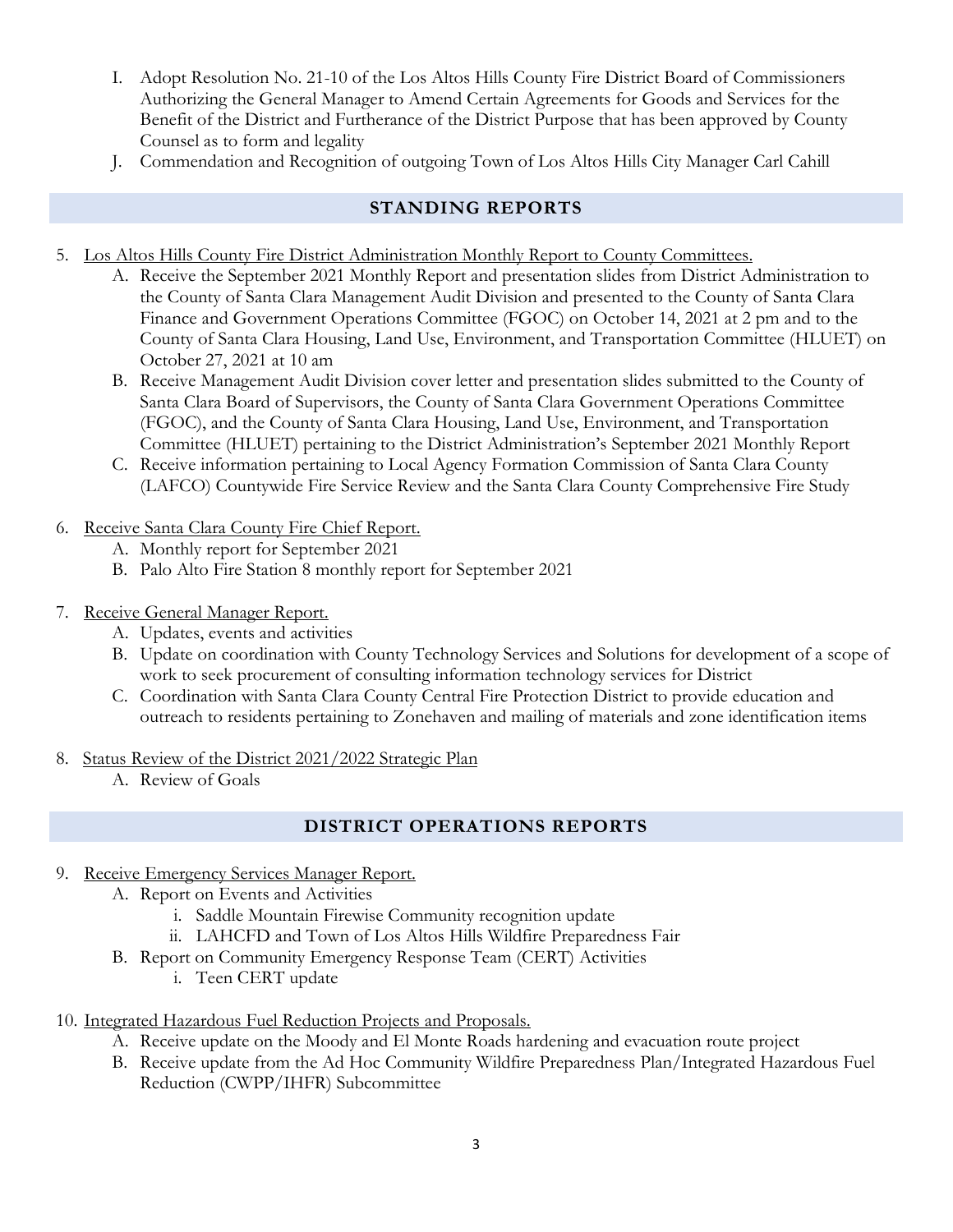- I. Adopt Resolution No. 21-10 of the Los Altos Hills County Fire District Board of Commissioners Authorizing the General Manager to Amend Certain Agreements for Goods and Services for the Benefit of the District and Furtherance of the District Purpose that has been approved by County Counsel as to form and legality
- J. Commendation and Recognition of outgoing Town of Los Altos Hills City Manager Carl Cahill

# **STANDING REPORTS**

- 5. Los Altos Hills County Fire District Administration Monthly Report to County Committees.
	- A. Receive the September 2021 Monthly Report and presentation slides from District Administration to the County of Santa Clara Management Audit Division and presented to the County of Santa Clara Finance and Government Operations Committee (FGOC) on October 14, 2021 at 2 pm and to the County of Santa Clara Housing, Land Use, Environment, and Transportation Committee (HLUET) on October 27, 2021 at 10 am
	- B. Receive Management Audit Division cover letter and presentation slides submitted to the County of Santa Clara Board of Supervisors, the County of Santa Clara Government Operations Committee (FGOC), and the County of Santa Clara Housing, Land Use, Environment, and Transportation Committee (HLUET) pertaining to the District Administration's September 2021 Monthly Report
	- C. Receive information pertaining to Local Agency Formation Commission of Santa Clara County (LAFCO) Countywide Fire Service Review and the Santa Clara County Comprehensive Fire Study
- 6. Receive Santa Clara County Fire Chief Report.
	- A. Monthly report for September 2021
	- B. Palo Alto Fire Station 8 monthly report for September 2021
- 7. Receive General Manager Report.
	- A. Updates, events and activities
	- B. Update on coordination with County Technology Services and Solutions for development of a scope of work to seek procurement of consulting information technology services for District
	- C. Coordination with Santa Clara County Central Fire Protection District to provide education and outreach to residents pertaining to Zonehaven and mailing of materials and zone identification items
- 8. Status Review of the District 2021/2022 Strategic Plan
	- A. Review of Goals

# **DISTRICT OPERATIONS REPORTS**

- 9. Receive Emergency Services Manager Report.
	- A. Report on Events and Activities
		- i. Saddle Mountain Firewise Community recognition update
		- ii. LAHCFD and Town of Los Altos Hills Wildfire Preparedness Fair
	- B. Report on Community Emergency Response Team (CERT) Activities
		- i. Teen CERT update
- 10. Integrated Hazardous Fuel Reduction Projects and Proposals.
	- A. Receive update on the Moody and El Monte Roads hardening and evacuation route project
	- B. Receive update from the Ad Hoc Community Wildfire Preparedness Plan/Integrated Hazardous Fuel Reduction (CWPP/IHFR) Subcommittee